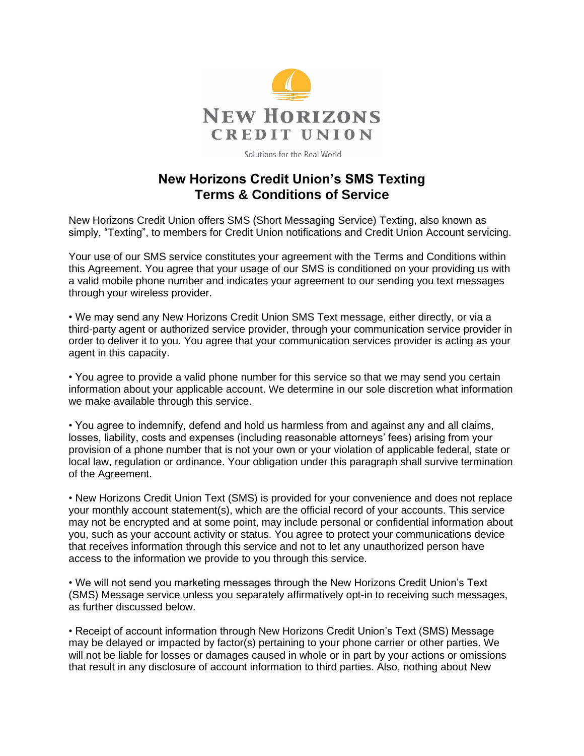

Solutions for the Real World

## **New Horizons Credit Union's SMS Texting Terms & Conditions of Service**

New Horizons Credit Union offers SMS (Short Messaging Service) Texting, also known as simply, "Texting", to members for Credit Union notifications and Credit Union Account servicing.

Your use of our SMS service constitutes your agreement with the Terms and Conditions within this Agreement. You agree that your usage of our SMS is conditioned on your providing us with a valid mobile phone number and indicates your agreement to our sending you text messages through your wireless provider.

• We may send any New Horizons Credit Union SMS Text message, either directly, or via a third-party agent or authorized service provider, through your communication service provider in order to deliver it to you. You agree that your communication services provider is acting as your agent in this capacity.

• You agree to provide a valid phone number for this service so that we may send you certain information about your applicable account. We determine in our sole discretion what information we make available through this service.

• You agree to indemnify, defend and hold us harmless from and against any and all claims, losses, liability, costs and expenses (including reasonable attorneys' fees) arising from your provision of a phone number that is not your own or your violation of applicable federal, state or local law, regulation or ordinance. Your obligation under this paragraph shall survive termination of the Agreement.

• New Horizons Credit Union Text (SMS) is provided for your convenience and does not replace your monthly account statement(s), which are the official record of your accounts. This service may not be encrypted and at some point, may include personal or confidential information about you, such as your account activity or status. You agree to protect your communications device that receives information through this service and not to let any unauthorized person have access to the information we provide to you through this service.

• We will not send you marketing messages through the New Horizons Credit Union's Text (SMS) Message service unless you separately affirmatively opt-in to receiving such messages, as further discussed below.

• Receipt of account information through New Horizons Credit Union's Text (SMS) Message may be delayed or impacted by factor(s) pertaining to your phone carrier or other parties. We will not be liable for losses or damages caused in whole or in part by your actions or omissions that result in any disclosure of account information to third parties. Also, nothing about New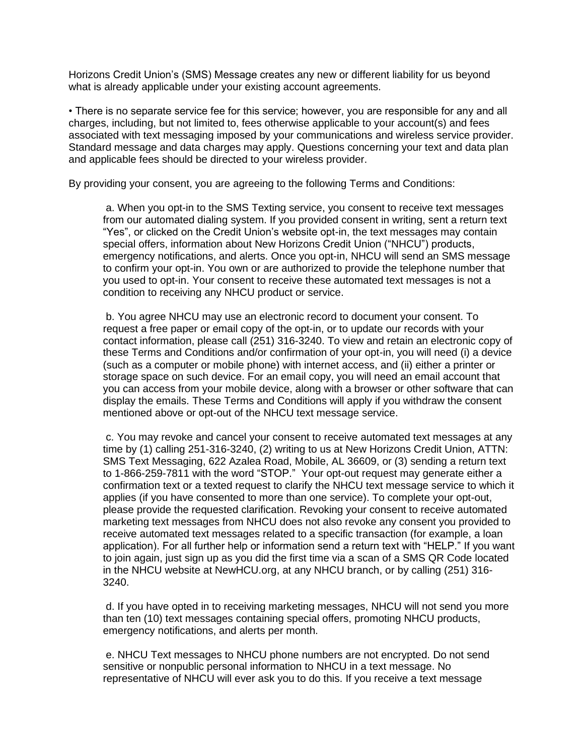Horizons Credit Union's (SMS) Message creates any new or different liability for us beyond what is already applicable under your existing account agreements.

• There is no separate service fee for this service; however, you are responsible for any and all charges, including, but not limited to, fees otherwise applicable to your account(s) and fees associated with text messaging imposed by your communications and wireless service provider. Standard message and data charges may apply. Questions concerning your text and data plan and applicable fees should be directed to your wireless provider.

By providing your consent, you are agreeing to the following Terms and Conditions:

a. When you opt-in to the SMS Texting service, you consent to receive text messages from our automated dialing system. If you provided consent in writing, sent a return text "Yes", or clicked on the Credit Union's website opt-in, the text messages may contain special offers, information about New Horizons Credit Union ("NHCU") products, emergency notifications, and alerts. Once you opt-in, NHCU will send an SMS message to confirm your opt-in. You own or are authorized to provide the telephone number that you used to opt-in. Your consent to receive these automated text messages is not a condition to receiving any NHCU product or service.

b. You agree NHCU may use an electronic record to document your consent. To request a free paper or email copy of the opt-in, or to update our records with your contact information, please call (251) 316-3240. To view and retain an electronic copy of these Terms and Conditions and/or confirmation of your opt-in, you will need (i) a device (such as a computer or mobile phone) with internet access, and (ii) either a printer or storage space on such device. For an email copy, you will need an email account that you can access from your mobile device, along with a browser or other software that can display the emails. These Terms and Conditions will apply if you withdraw the consent mentioned above or opt-out of the NHCU text message service.

c. You may revoke and cancel your consent to receive automated text messages at any time by (1) calling 251-316-3240, (2) writing to us at New Horizons Credit Union, ATTN: SMS Text Messaging, 622 Azalea Road, Mobile, AL 36609, or (3) sending a return text to 1-866-259-7811 with the word "STOP." Your opt-out request may generate either a confirmation text or a texted request to clarify the NHCU text message service to which it applies (if you have consented to more than one service). To complete your opt-out, please provide the requested clarification. Revoking your consent to receive automated marketing text messages from NHCU does not also revoke any consent you provided to receive automated text messages related to a specific transaction (for example, a loan application). For all further help or information send a return text with "HELP." If you want to join again, just sign up as you did the first time via a scan of a SMS QR Code located in the NHCU website at NewHCU.org, at any NHCU branch, or by calling (251) 316- 3240.

d. If you have opted in to receiving marketing messages, NHCU will not send you more than ten (10) text messages containing special offers, promoting NHCU products, emergency notifications, and alerts per month.

e. NHCU Text messages to NHCU phone numbers are not encrypted. Do not send sensitive or nonpublic personal information to NHCU in a text message. No representative of NHCU will ever ask you to do this. If you receive a text message